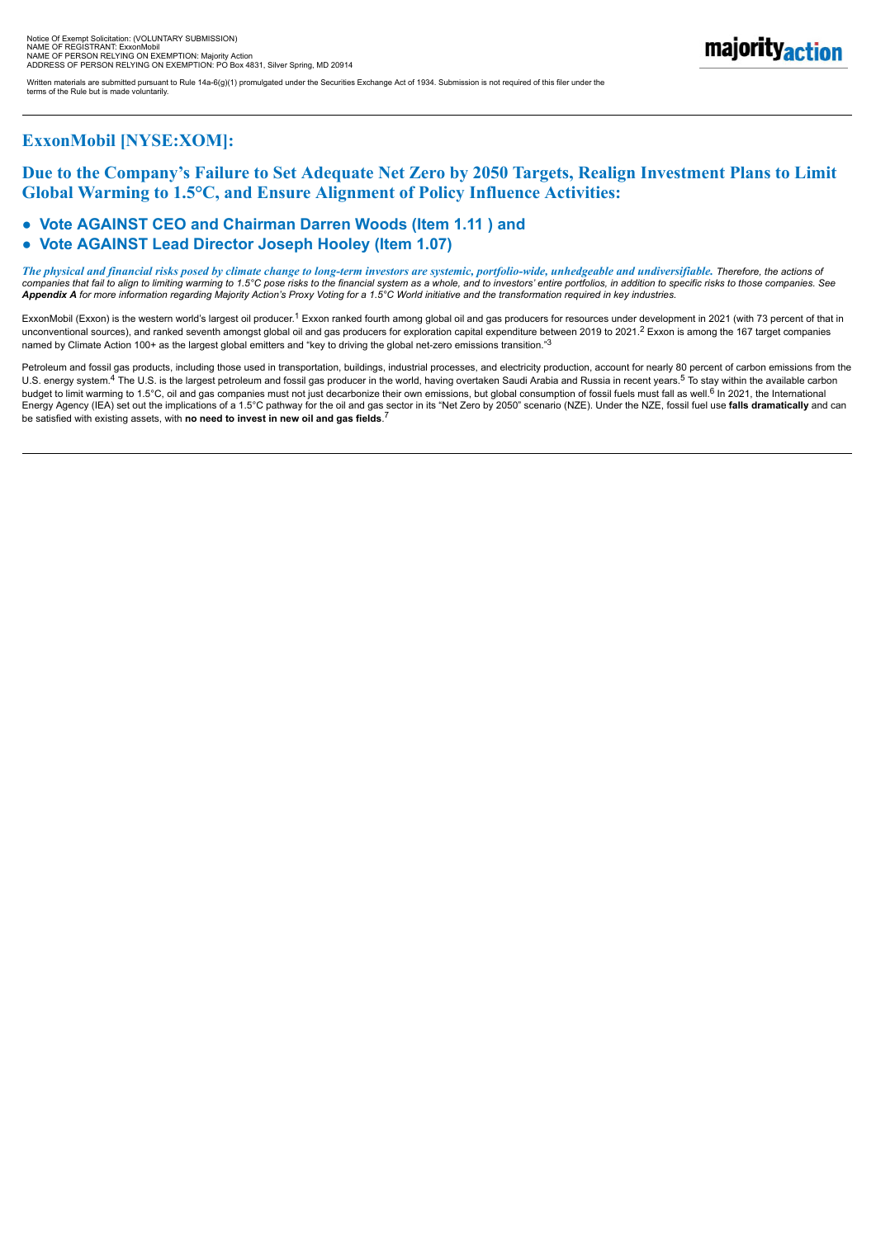Written materials are submitted pursuant to Rule 14a-6(g)(1) promulgated under the Securities Exchange Act of 1934. Submission is not required of this filer under the

## **ExxonMobil [NYSE:XOM]:**

terms of the Rule but is made voluntarily.

## **Due to the Company's Failure to Set Adequate Net Zero by 2050 Targets, Realign Investment Plans to Limit Global Warming to 1.5°C, and Ensure Alignment of Policy Influence Activities:**

## ● **Vote AGAINST CEO and Chairman Darren Woods (Item 1.11 ) and**

#### ● **Vote AGAINST Lead Director Joseph Hooley (Item 1.07)**

*The physical and financial risks posed by climate change to long-term investors are systemic, portfolio-wide, unhedgeable and undiversifiable. Therefore, the actions of* companies that fail to align to limiting warming to 1.5°C pose risks to the financial system as a whole, and to investors' entire portfolios, in addition to specific risks to those companies. See<br>**Appendix A** for more info

ExxonMobil (Exxon) is the western world's largest oil producer.<sup>1</sup> Exxon ranked fourth among global oil and gas producers for resources under development in 2021 (with 73 percent of that in unconventional sources), and ranked seventh amongst global oil and gas producers for exploration capital expenditure between 2019 to 2021.<sup>2</sup> Exxon is among the 167 target companies named by Climate Action 100+ as the largest global emitters and "key to driving the global net-zero emissions transition."3

Petroleum and fossil gas products, including those used in transportation, buildings, industrial processes, and electricity production, account for nearly 80 percent of carbon emissions from the U.S. energy system.<sup>4</sup> The U.S. is the largest petroleum and fossil gas producer in the world, having overtaken Saudi Arabia and Russia in recent years.<sup>5</sup> To stay within the available carbon budget to limit warming to 1.5°C, oil and gas companies must not just decarbonize their own emissions, but global consumption of fossil fuels must fall as well.<sup>6</sup> In 2021, the International<br>Energy Agency (IEA) set out the be satisfied with existing assets, with **no need to invest in new oil and gas fields**.<sup>7</sup>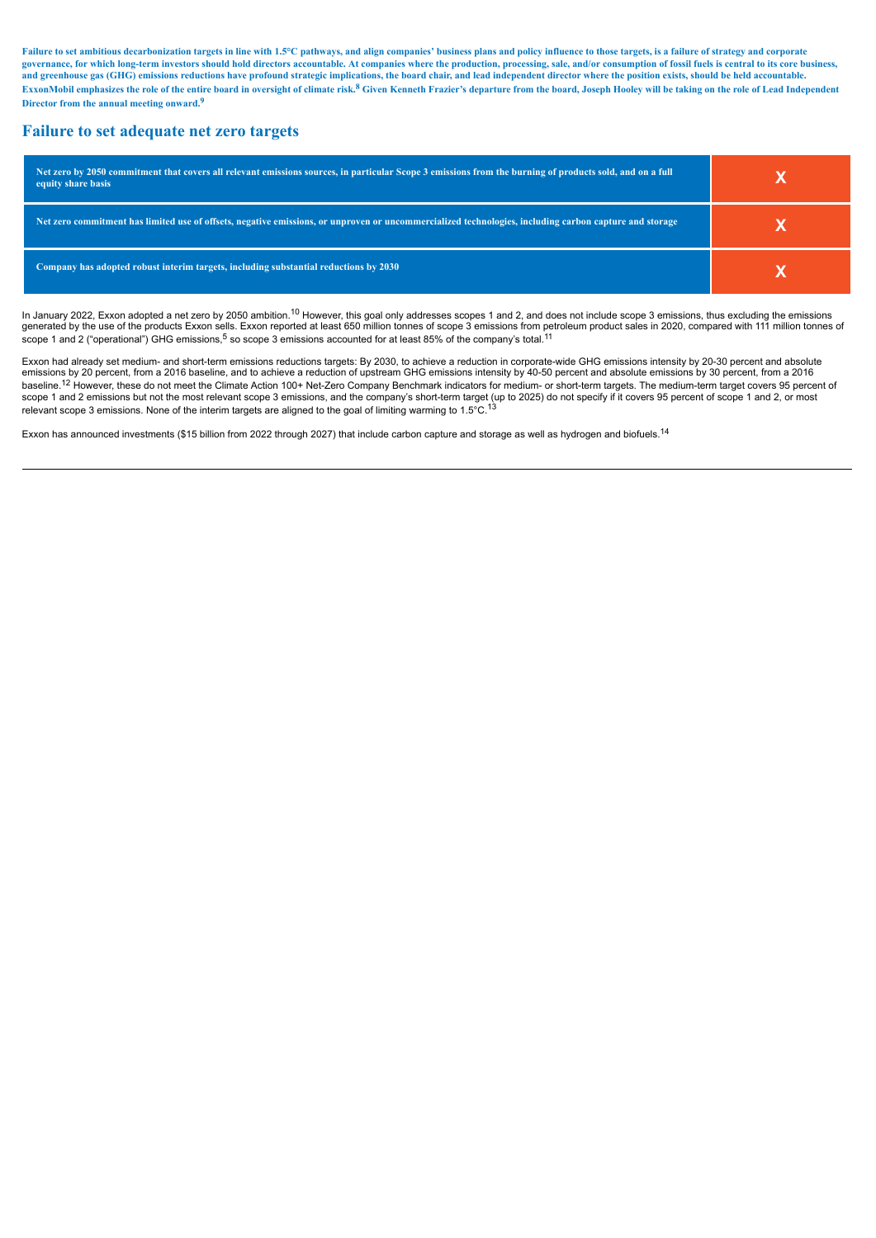Failure to set ambitious decarbonization targets in line with 1.5°C pathways, and align companies' business plans and policy influence to those targets, is a failure of strategy and corporate governance, for which long-term investors should hold directors accountable. At companies where the production, processing, sale, and/or consumption of fossil fuels is central to its core business, and greenhouse gas (GHG) emissions reductions have profound strategic implications, the board chair, and lead independent director where the position exists, should be held accountable. ExxonMobil emphasizes the role of the entire board in oversight of climate risk.<sup>8</sup> Given Kenneth Frazier's departure from the board, Joseph Hooley will be taking on the role of Lead Independent **Director from the annual meeting onward.<sup>9</sup>**

#### **Failure to set adequate net zero targets**

| Net zero by 2050 commitment that covers all relevant emissions sources, in particular Scope 3 emissions from the burning of products sold, and on a full<br>equity share basis |  |
|--------------------------------------------------------------------------------------------------------------------------------------------------------------------------------|--|
| Net zero commitment has limited use of offsets, negative emissions, or unproven or uncommercialized technologies, including carbon capture and storage                         |  |
| Company has adopted robust interim targets, including substantial reductions by 2030                                                                                           |  |

In January 2022, Exxon adopted a net zero by 2050 ambition.<sup>10</sup> However, this goal only addresses scopes 1 and 2, and does not include scope 3 emissions, thus excluding the emissions generated by the use of the products Exxon sells. Exxon reported at least 650 million tonnes of scope 3 emissions from petroleum product sales in 2020, compared with 111 million tonnes of scope 1 and 2 ("operational") GHG emissions,<sup>5</sup> so scope 3 emissions accounted for at least 85% of the company's total.<sup>11</sup>

Exxon had already set medium- and short-term emissions reductions targets: By 2030, to achieve a reduction in corporate-wide GHG emissions intensity by 20-30 percent and absolute<br>emissions by 20 percent, from a 2016 baseli baseline.<sup>12</sup> However, these do not meet the Climate Action 100+ Net-Zero Company Benchmark indicators for medium- or short-term targets. The medium-term target covers 95 percent of scope 1 and 2 emissions but not the most relevant scope 3 emissions, and the company's short-term target (up to 2025) do not specify if it covers 95 percent of scope 1 and 2, or most relevant scope 3 emissions. None of the interim targets are aligned to the goal of limiting warming to 1.5°C.<sup>13</sup>

Exxon has announced investments (\$15 billion from 2022 through 2027) that include carbon capture and storage as well as hydrogen and biofuels.<sup>14</sup>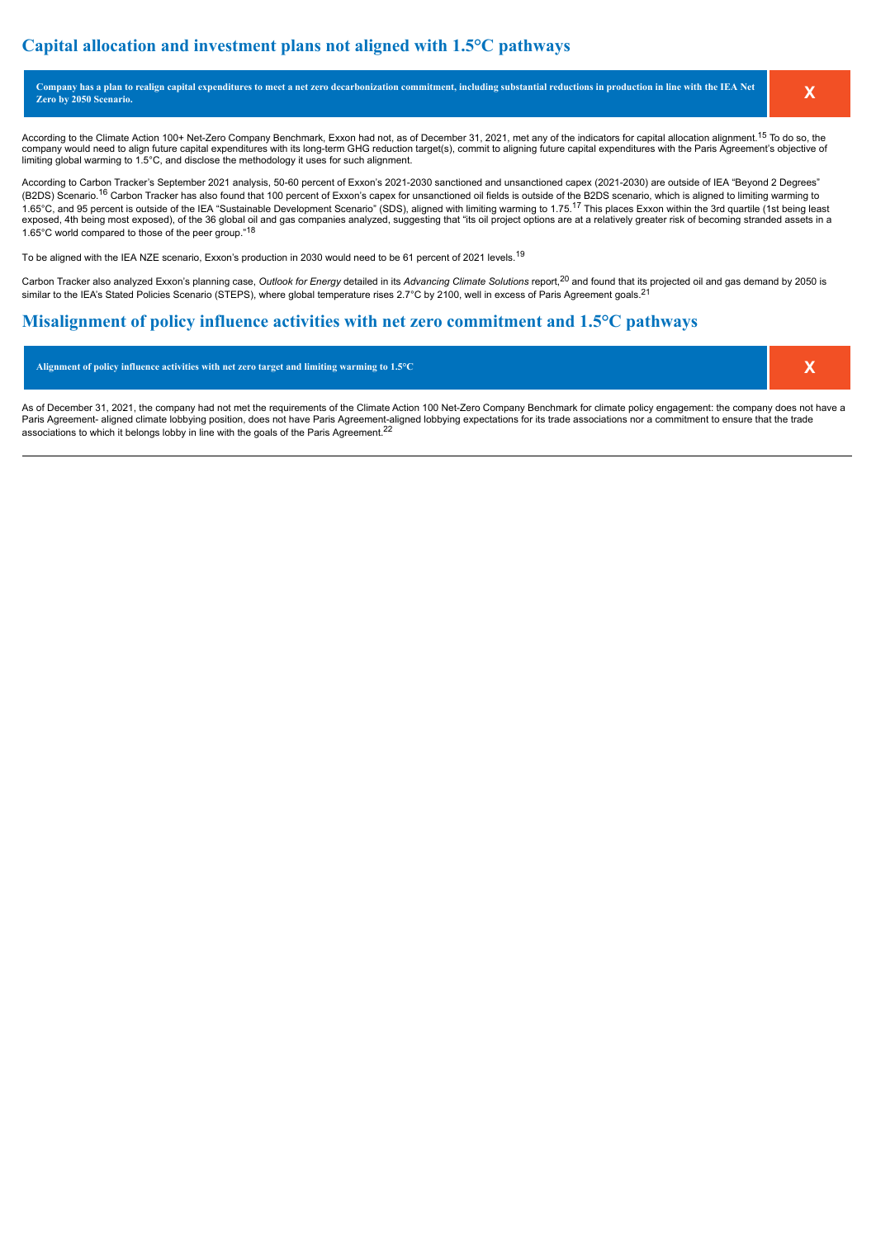## **Capital allocation and investment plans not aligned with 1.5°C pathways**

| Company has a plan to realign capital expenditures to meet a net zero decarbonization commitment, including substantial reductions in production in line with the IEA Net<br><b>Zero by 2050 Scenario.</b> |  |
|------------------------------------------------------------------------------------------------------------------------------------------------------------------------------------------------------------|--|
|                                                                                                                                                                                                            |  |

According to the Climate Action 100+ Net-Zero Company Benchmark, Exxon had not, as of December 31, 2021, met any of the indicators for capital allocation alignment.<sup>15</sup> To do so, the company would need to align future capital expenditures with its long-term GHG reduction target(s), commit to aligning future capital expenditures with the Paris Agreement's objective of limiting global warming to 1.5°C, and disclose the methodology it uses for such alignment.

According to Carbon Tracker's September 2021 analysis, 50-60 percent of Exxon's 2021-2030 sanctioned and unsanctioned capex (2021-2030) are outside of IEA "Beyond 2 Degrees" (B2DS) Scenario.<sup>16</sup> Carbon Tracker has also found that 100 percent of Exxon's capex for unsanctioned oil fields is outside of the B2DS scenario, which is aligned to limiting warming to 1.65°C, and 95 percent is outside of the IEA "Sustainable Development Scenario" (SDS), aligned with limiting warming to 1.75.<sup>17</sup> This places Exxon within the 3rd quartile (1st being least exposed, 4th being most exposed), of the 36 global oil and gas companies analyzed, suggesting that "its oil project options are at a relatively greater risk of becoming stranded assets in a 1.65°C world compared to those of the peer group."<sup>18</sup>

To be aligned with the IEA NZE scenario, Exxon's production in 2030 would need to be 61 percent of 2021 levels.<sup>19</sup>

Carbon Tracker also analyzed Exxon's planning case, Outlook for Energy detailed in its Advancing Climate Solutions report,<sup>20</sup> and found that its projected oil and gas demand by 2050 is similar to the IEA's Stated Policies Scenario (STEPS), where global temperature rises 2.7°C by 2100, well in excess of Paris Agreement goals.<sup>21</sup>

#### **Misalignment of policy influence activities with net zero commitment and 1.5°C pathways**

**Alignment of policy influence activities with net zero target and limiting warming to 1.5°C X**

As of December 31, 2021, the company had not met the requirements of the Climate Action 100 Net-Zero Company Benchmark for climate policy engagement: the company does not have a Paris Agreement- aligned climate lobbying position, does not have Paris Agreement-aligned lobbying expectations for its trade associations nor a commitment to ensure that the trade associations to which it belongs lobby in line with the goals of the Paris Agreement.<sup>22</sup>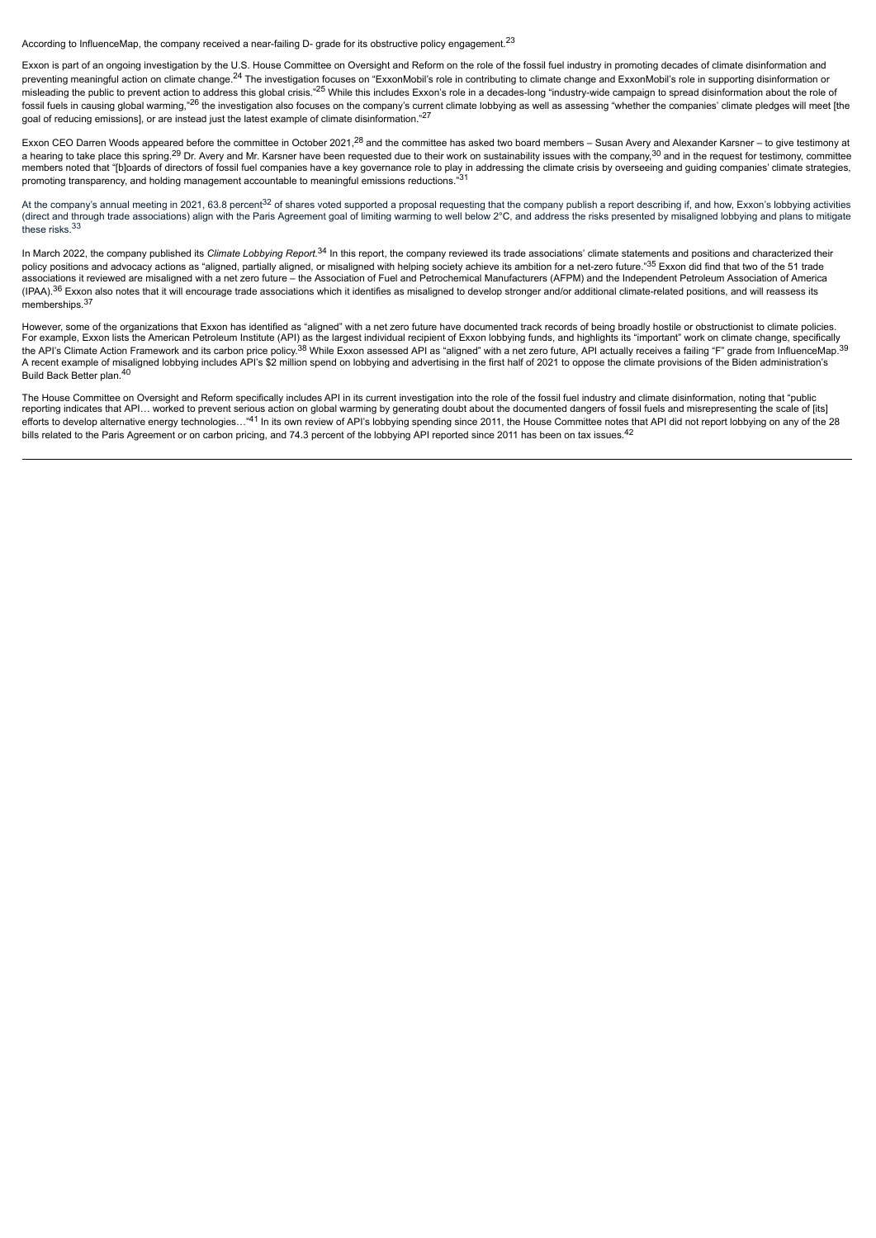According to InfluenceMap, the company received a near-failing D- grade for its obstructive policy engagement.<sup>23</sup>

Exxon is part of an ongoing investigation by the U.S. House Committee on Oversight and Reform on the role of the fossil fuel industry in promoting decades of climate disinformation and preventing meaningful action on climate change.<sup>24</sup> The investigation focuses on "ExxonMobil's role in contributing to climate change and ExxonMobil's role in supporting disinformation or misleading the public to prevent action to address this global crisis."<sup>25</sup> While this includes Exxon's role in a decades-long "industry-wide campaign to spread disinformation about the role of fossil fuels in causing global warming,"<sup>26</sup> the investigation also focuses on the company's current climate lobbying as well as assessing "whether the companies' climate pledges will meet [the goal of reducing emissions], or are instead just the latest example of climate disinformation."<sup>27</sup>

Exxon CEO Darren Woods appeared before the committee in October 2021,<sup>28</sup> and the committee has asked two board members – Susan Avery and Alexander Karsner – to give testimony at a hearing to take place this spring.<sup>29</sup> Dr. Avery and Mr. Karsner have been requested due to their work on sustainability issues with the company,<sup>30</sup> and in the request for testimony, committee members noted that "[b]oards of directors of fossil fuel companies have a key governance role to play in addressing the climate crisis by overseeing and guiding companies' climate strategies, promoting transparency, and holding management accountable to meaningful emissions reductions."<sup>31</sup>

At the company's annual meeting in 2021, 63.8 percent<sup>32</sup> of shares voted supported a proposal requesting that the company publish a report describing if, and how, Exxon's lobbying activities<br>(direct and through trade asso these risks.<sup>33</sup>

In March 2022, the company published its Climate Lobbying Report.<sup>34</sup> In this report, the company reviewed its trade associations' climate statements and positions and characterized their policy positions and advocacy actions as "aligned, partially aligned, or misaligned with helping society achieve its ambition for a net-zero future."<sup>35</sup> Exxon did find that two of the 51 trade associations it reviewed are misaligned with a net zero future – the Association of Fuel and Petrochemical Manufacturers (AFPM) and the Independent Petroleum Association of America (IPAA).<sup>36</sup> Exxon also notes that it will encourage trade associations which it identifies as misaligned to develop stronger and/or additional climate-related positions, and will reassess its memberships. $3$ 

However, some of the organizations that Exxon has identified as "aligned" with a net zero future have documented track records of being broadly hostile or obstructionist to climate policies. For example, Exxon lists the American Petroleum Institute (API) as the largest individual recipient of Exxon lobbying funds, and highlights its "important" work on climate change, specifically<br>the API's Climate Action Fram A recent example of misaligned lobbying includes API's \$2 million spend on lobbying and advertising in the first half of 2021 to oppose the climate provisions of the Biden administration's Build Back Better plan.<sup>40</sup>

The House Committee on Oversight and Reform specifically includes API in its current investigation into the role of the fossil fuel industry and climate disinformation, noting that "public reporting indicates that API… worked to prevent serious action on global warming by generating doubt about the documented dangers of fossil fuels and misrepresenting the scale of [its] efforts to develop alternative energy technologies..."<sup>41</sup> In its own review of API's lobbying spending since 2011, the House Committee notes that API did not report lobbying on any of the 28 bills related to the Paris Agreement or on carbon pricing, and 74.3 percent of the lobbying API reported since 2011 has been on tax issues.<sup>42</sup>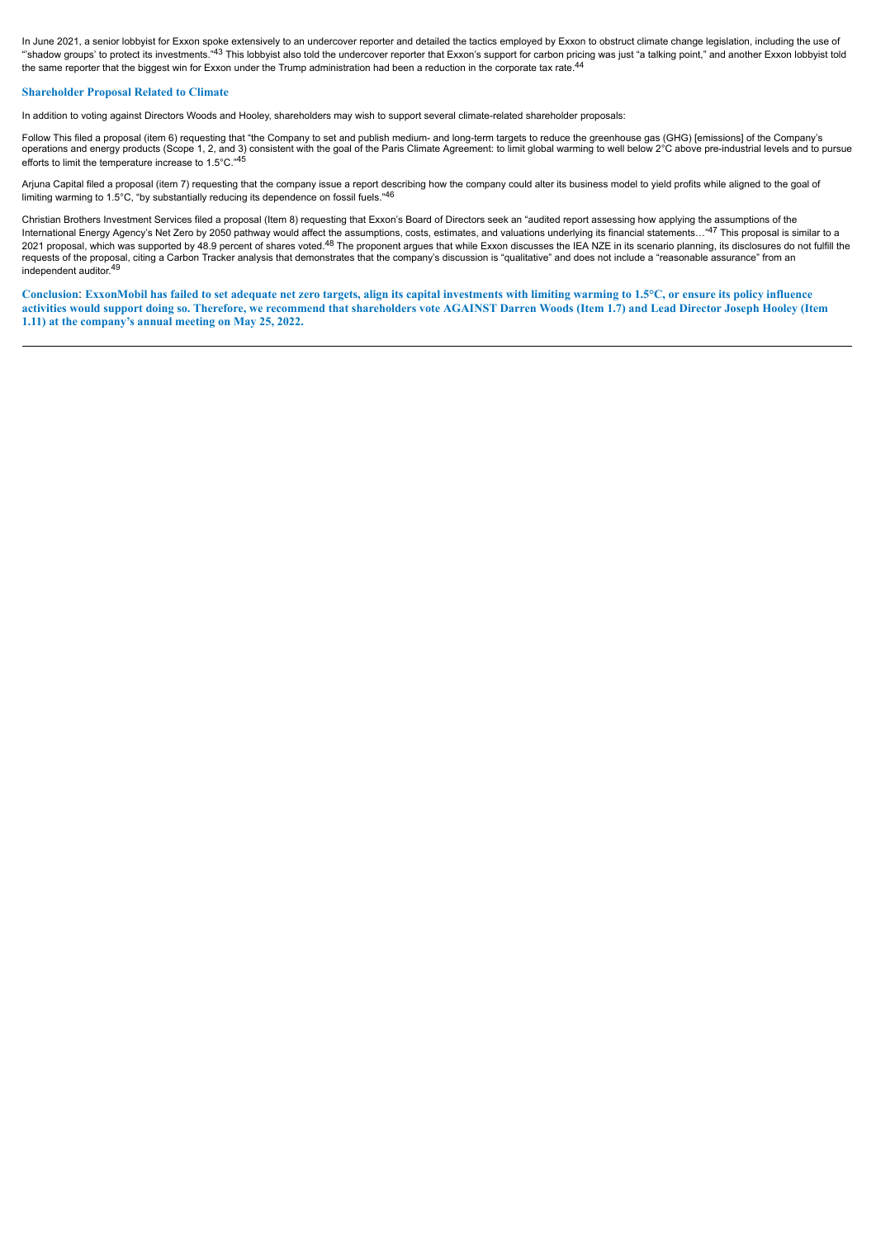In June 2021, a senior lobbyist for Exxon spoke extensively to an undercover reporter and detailed the tactics employed by Exxon to obstruct climate change legislation, including the use of ""shadow groups' to protect its investments."<sup>43</sup> This lobbyist also told the undercover reporter that Exxon's support for carbon pricing was just "a talking point," and another Exxon lobbyist told the same reporter that the biggest win for Exxon under the Trump administration had been a reduction in the corporate tax rate.<sup>44</sup>

#### **Shareholder Proposal Related to Climate**

In addition to voting against Directors Woods and Hooley, shareholders may wish to support several climate-related shareholder proposals:

Follow This filed a proposal (item 6) requesting that "the Company to set and publish medium- and long-term targets to reduce the greenhouse gas (GHG) [emissions] of the Company's operations and energy products (Scope 1, 2, and 3) consistent with the goal of the Paris Climate Agreement: to limit global warming to well below 2°C above pre-industrial levels and to pursue efforts to limit the temperature increase to 1.5°C."45

Arjuna Capital filed a proposal (item 7) requesting that the company issue a report describing how the company could alter its business model to yield profits while aligned to the goal of limiting warming to 1.5°C, "by substantially reducing its dependence on fossil fuels."41

Christian Brothers Investment Services filed a proposal (Item 8) requesting that Exxon's Board of Directors seek an "audited report assessing how applying the assumptions of the International Energy Agency's Net Zero by 2050 pathway would affect the assumptions, costs, estimates, and valuations underlying its financial statements..."47 This proposal is similar to a 2021 proposal, which was supported by 48.9 percent of shares voted.<sup>48</sup> The proponent argues that while Exxon discusses the IEA NZE in its scenario planning, its disclosures do not fulfill the requests of the proposal, citing a Carbon Tracker analysis that demonstrates that the company's discussion is "qualitative" and does not include a "reasonable assurance" from an requests of the proposal, citing a Carbon Tr independent auditor.<sup>49</sup>

**Conclusion**: **ExxonMobil has failed to set adequate net zero targets, align its capital investments with limiting warming to 1.5°C, or ensure its policy influence activities would support doing so. Therefore, we recommend that shareholders vote AGAINST Darren Woods (Item 1.7) and Lead Director Joseph Hooley (Item 1.11) at the company's annual meeting on May 25, 2022.**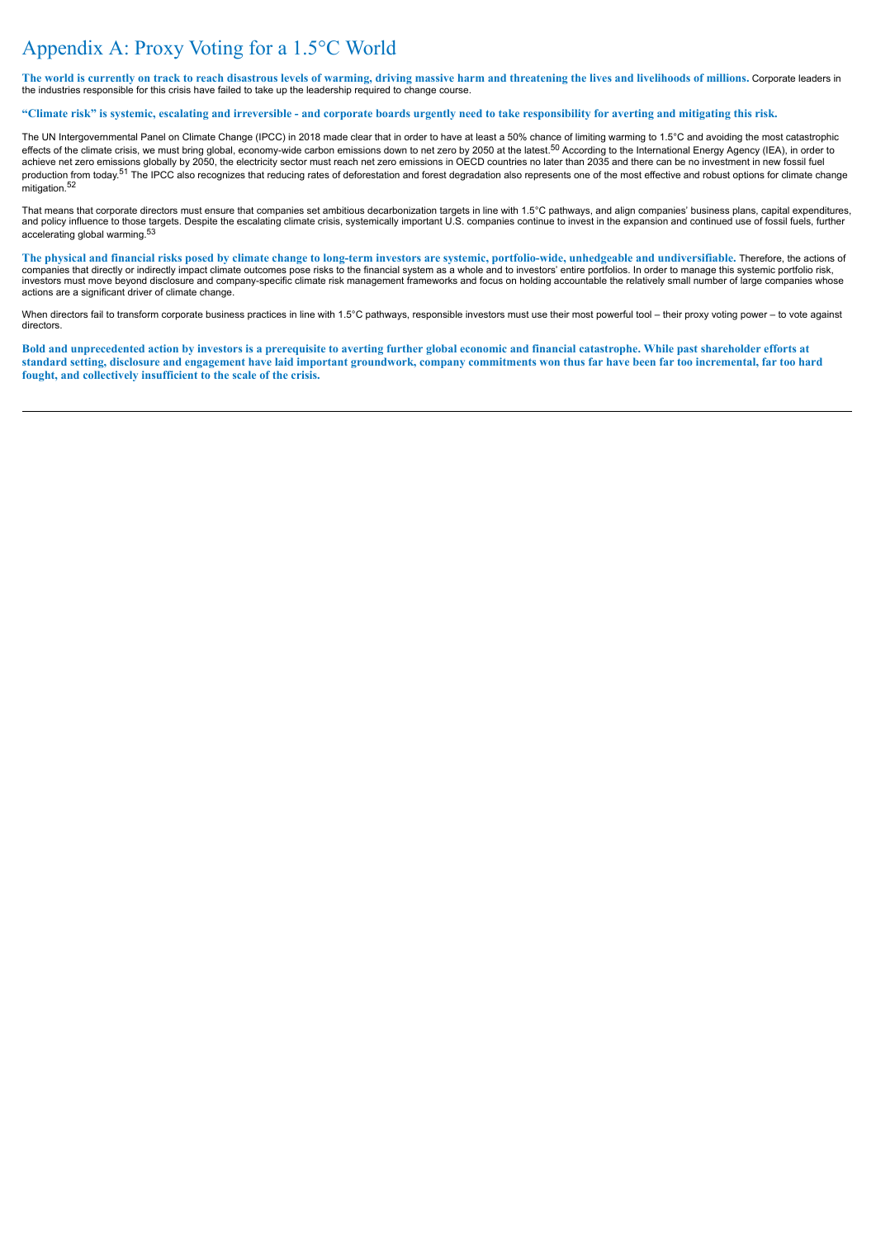# Appendix A: Proxy Voting for a 1.5°C World

**The world is currently on track to reach disastrous levels of warming, driving massive harm and threatening the lives and livelihoods of millions.** Corporate leaders in the industries responsible for this crisis have failed to take up the leadership required to change course.

#### **"Climate risk" is systemic, escalating and irreversible - and corporate boards urgently need to take responsibility for averting and mitigating this risk.**

The UN Intergovernmental Panel on Climate Change (IPCC) in 2018 made clear that in order to have at least a 50% chance of limiting warming to 1.5°C and avoiding the most catastrophic effects of the climate crisis, we must bring global, economy-wide carbon emissions down to net zero by 2050 at the latest.<sup>50</sup> According to the International Energy Agency (IEA), in order to<br>achieve net zero emissions glob production from today.<sup>51</sup> The IPCC also recognizes that reducing rates of deforestation and forest degradation also represents one of the most effective and robust options for climate change mitigation.<sup>52</sup>

That means that corporate directors must ensure that companies set ambitious decarbonization targets in line with 1.5°C pathways, and align companies' business plans, capital expenditures, and policy influence to those targets. Despite the escalating climate crisis, systemically important U.S. companies continue to invest in the expansion and continued use of fossil fuels, further accelerating global warming.<sup>53</sup>

**The physical and financial risks posed by climate change to long-term investors are systemic, portfolio-wide, unhedgeable and undiversifiable.** Therefore, the actions of companies that directly or indirectly impact climate outcomes pose risks to the financial system as a whole and to investors' entire portfolios. In order to manage this systemic portfolio risk, investors must move beyond disclosure and company-specific climate risk management frameworks and focus on holding accountable the relatively small number of large companies whose actions are a significant driver of climate change.

When directors fail to transform corporate business practices in line with 1.5°C pathways, responsible investors must use their most powerful tool – their proxy voting power – to vote against directors.

**Bold and unprecedented action by investors is a prerequisite to averting further global economic and financial catastrophe. While past shareholder efforts at standard setting, disclosure and engagement have laid important groundwork, company commitments won thus far have been far too incremental, far too hard fought, and collectively insufficient to the scale of the crisis.**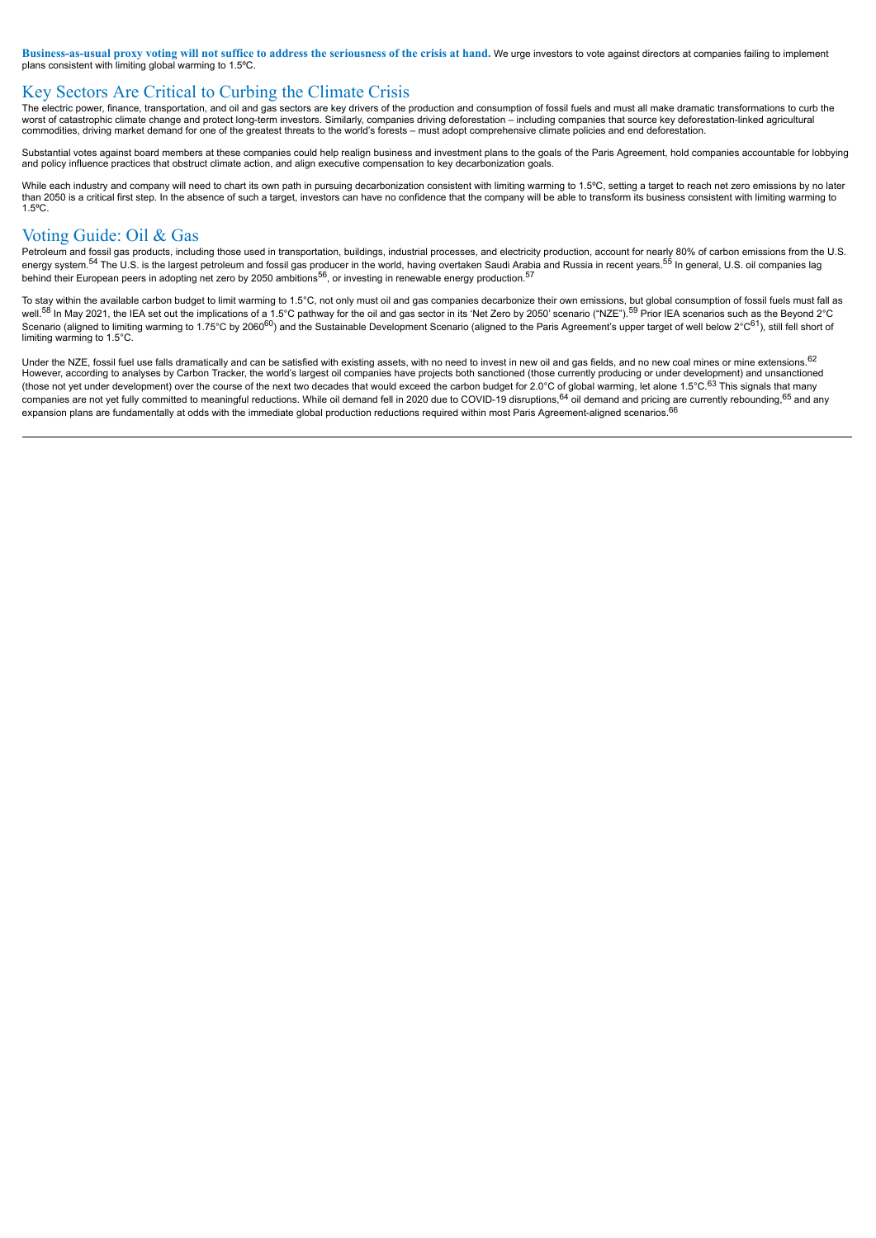**Business-as-usual proxy voting will not suffice to address the seriousness of the crisis at hand.** We urge investors to vote against directors at companies failing to implement plans consistent with limiting global warming to 1.5ºC.

## Key Sectors Are Critical to Curbing the Climate Crisis

The electric power, finance, transportation, and oil and gas sectors are key drivers of the production and consumption of fossil fuels and must all make dramatic transformations to curb the worst of catastrophic climate change and protect long-term investors. Similarly, companies driving deforestation – including companies that source key deforestation-linked agricultural commodities, driving market demand for one of the greatest threats to the world's forests – must adopt comprehensive climate policies and end deforestation.

Substantial votes against board members at these companies could help realign business and investment plans to the goals of the Paris Agreement, hold companies accountable for lobbying and policy influence practices that obstruct climate action, and align executive compensation to key decarbonization goals.

While each industry and company will need to chart its own path in pursuing decarbonization consistent with limiting warming to 1.5°C, setting a target to reach net zero emissions by no later than 2050 is a critical first step. In the absence of such a target, investors can have no confidence that the company will be able to transform its business consistent with limiting warming to 1.5ºC.

### Voting Guide: Oil & Gas

Petroleum and fossil gas products, including those used in transportation, buildings, industrial processes, and electricity production, account for nearly 80% of carbon emissions from the U.S. energy system.<sup>54</sup> The U.S. is the largest petroleum and fossil gas producer in the world, having overtaken Saudi Arabia and Russia in recent years.<sup>55</sup> In general, U.S. oil companies lag behind their European peers in adopting net zero by 2050 ambitions<sup>56</sup>, or investing in renewable energy production.<sup>57</sup>

To stay within the available carbon budget to limit warming to 1.5°C, not only must oil and gas companies decarbonize their own emissions, but global consumption of fossil fuels must fall as well.<sup>58</sup> In May 2021, the IEA set out the implications of a 1.5°C pathway for the oil and gas sector in its 'Net Zero by 2050' scenario ("NZE").<sup>59</sup> Prior IEA scenarios such as the Beyond 2°C Scenario (aligned to limiting warming to 1.75°C by 2060<sup>60</sup>) and the Sustainable Development Scenario (aligned to the Paris Agreement's upper target of well below 2°C<sup>61</sup>), still fell short of limiting warming to 1.5°C.

Under the NZE, fossil fuel use falls dramatically and can be satisfied with existing assets, with no need to invest in new oil and gas fields, and no new coal mines or mine extensions. 62 However, according to analyses by Carbon Tracker, the world's largest oil companies have projects both sanctioned (those currently producing or under development) and unsanctioned (those not yet under development) over the course of the next two decades that would exceed the carbon budget for 2.0°C of global warming, let alone 1.5°C.<sup>63</sup> This signals that many companies are not yet fully committed to meaningful reductions. While oil demand fell in 2020 due to COVID-19 disruptions,<sup>64</sup> oil demand and pricing are currently rebounding,<sup>65</sup> and any expansion plans are fundamentally at odds with the immediate global production reductions required within most Paris Agreement-aligned scenarios.<sup>66</sup>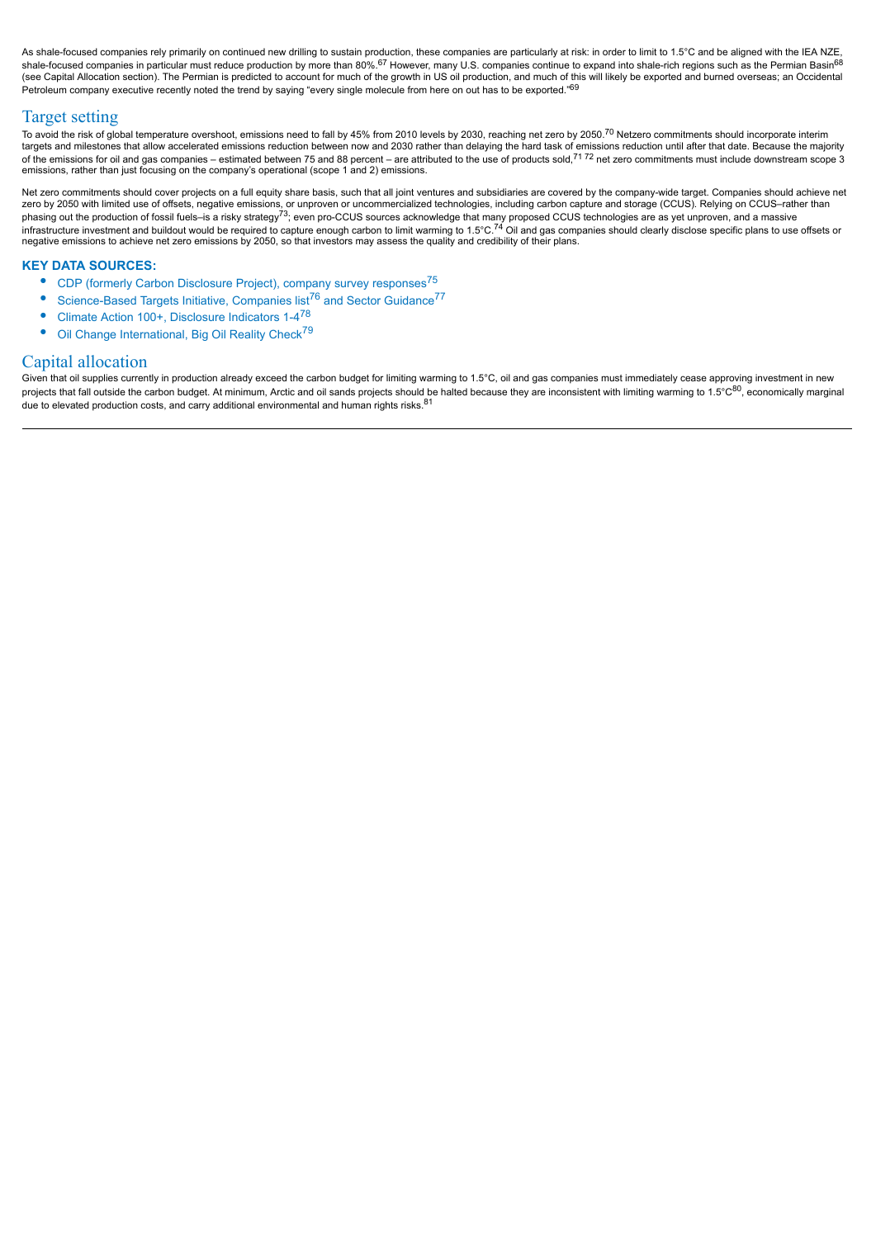As shale-focused companies rely primarily on continued new drilling to sustain production, these companies are particularly at risk: in order to limit to 1.5°C and be aligned with the IEA NZE, shale-focused companies in particular must reduce production by more than 80%.<sup>67</sup> However, many U.S. companies continue to expand into shale-rich regions such as the Permian Basin<sup>68</sup> (see Capital Allocation section). The Permian is predicted to account for much of the growth in US oil production, and much of this will likely be exported and burned overseas; an Occidental Petroleum company executive recently noted the trend by saying "every single molecule from here on out has to be exported."69

## Target setting

To avoid the risk of global temperature overshoot, emissions need to fall by 45% from 2010 levels by 2030, reaching net zero by 2050.<sup>70</sup> Netzero commitments should incorporate interim targets and milestones that allow accelerated emissions reduction between now and 2030 rather than delaying the hard task of emissions reduction until after that date. Because the majority of the emissions for oil and gas companies – estimated between 75 and 88 percent – are attributed to the use of products sold,<sup>71 72</sup> net zero commitments must include downstream scope 3 emissions, rather than just focusing on the company's operational (scope 1 and 2) emissions.

Net zero commitments should cover projects on a full equity share basis, such that all joint ventures and subsidiaries are covered by the company-wide target. Companies should achieve net zero by 2050 with limited use of offsets, negative emissions, or unproven or uncommercialized technologies, including carbon capture and storage (CCUS). Relying on CCUS–rather than phasing out the production of fossil fuels–is a risky strategy<sup>73</sup>; even pro-CCUS sources acknowledge that many proposed CCUS technologies are as yet unproven, and a massive<br>infrastructure investment and buildout would be negative emissions to achieve net zero emissions by 2050, so that investors may assess the quality and credibility of their plans.

#### **KEY DATA SOURCES:**

- CDP (formerly Carbon Disclosure Project), company survey responses<sup>75</sup>
- Science-Based Targets Initiative, Companies list<sup>76</sup> and Sector Guidance<sup>77</sup>
- Climate Action 100+, Disclosure Indicators 1-4<sup>78</sup>
- Oil Change International, Big Oil Reality Check<sup>79</sup>

#### Capital allocation

Given that oil supplies currently in production already exceed the carbon budget for limiting warming to 1.5°C, oil and gas companies must immediately cease approving investment in new projects that fall outside the carbon budget. At minimum, Arctic and oil sands projects should be halted because they are inconsistent with limiting warming to 1.5°C<sup>80</sup>, economically marginal due to elevated production costs, and carry additional environmental and human rights risks. $81$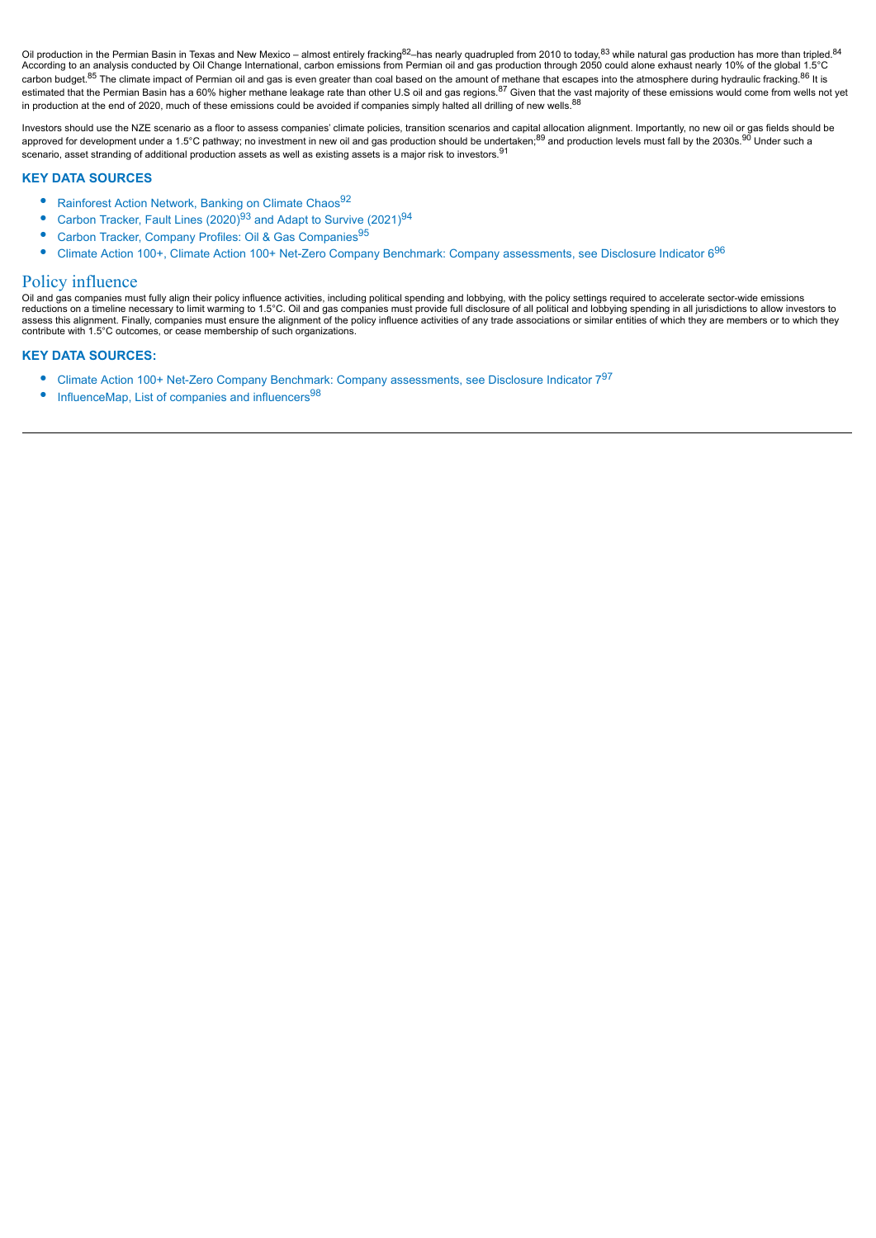Oil production in the Permian Basin in Texas and New Mexico – almost entirely fracking<sup>82</sup>–has nearly quadrupled from 2010 to today,<sup>83</sup> while natural gas production has more than tripled.<sup>84</sup> According to an analysis conducted by Oil Change International, carbon emissions from Permian oil and gas production through 2050 could alone exhaust nearly 10% of the global 1.5°C carbon budget.<sup>85</sup> The climate impact of Permian oil and gas is even greater than coal based on the amount of methane that escapes into the atmosphere during hydraulic fracking.<sup>86</sup> It is estimated that the Permian Basin has a 60% higher methane leakage rate than other U.S oil and gas regions.<sup>87</sup> Given that the vast majority of these emissions would come from wells not yet in production at the end of 2020, much of these emissions could be avoided if companies simply halted all drilling of new wells.<sup>88</sup>

Investors should use the NZE scenario as a floor to assess companies' climate policies, transition scenarios and capital allocation alignment. Importantly, no new oil or gas fields should be approved for development under a 1.5°C pathway; no investment in new oil and gas production should be undertaken;<sup>89</sup> and production levels must fall by the 2030s.<sup>90</sup> Under such a scenario, asset stranding of additional production assets as well as existing assets is a major risk to investors.<sup>91</sup>

#### **KEY DATA SOURCES**

- Rainforest Action Network, Banking on Climate Chaos<sup>92</sup>
- Carbon Tracker, Fault Lines  $(2020)^{93}$  and Adapt to Survive  $(2021)^{94}$
- Carbon Tracker, Company Profiles: Oil & Gas Companies<sup>95</sup>
- Climate Action 100+, Climate Action 100+ Net-Zero Company Benchmark: Company assessments, see Disclosure Indicator 6<sup>96</sup>

#### Policy influence

Oil and gas companies must fully align their policy influence activities, including political spending and lobbying, with the policy settings required to accelerate sector-wide emissions reductions on a timeline necessary to limit warming to 1.5°C. Oil and gas companies must provide full disclosure of all political and lobbying spending in all jurisdictions to allow investors to assess this alignment. Finally, companies must ensure the alignment of the policy influence activities of any trade associations or similar entities of which they are members or to which they contribute with 1.5°C outcomes, or cease membership of such organizations.

#### **KEY DATA SOURCES:**

- Climate Action 100+ Net-Zero Company Benchmark: Company assessments, see Disclosure Indicator 797
- InfluenceMap, List of companies and influencers $98$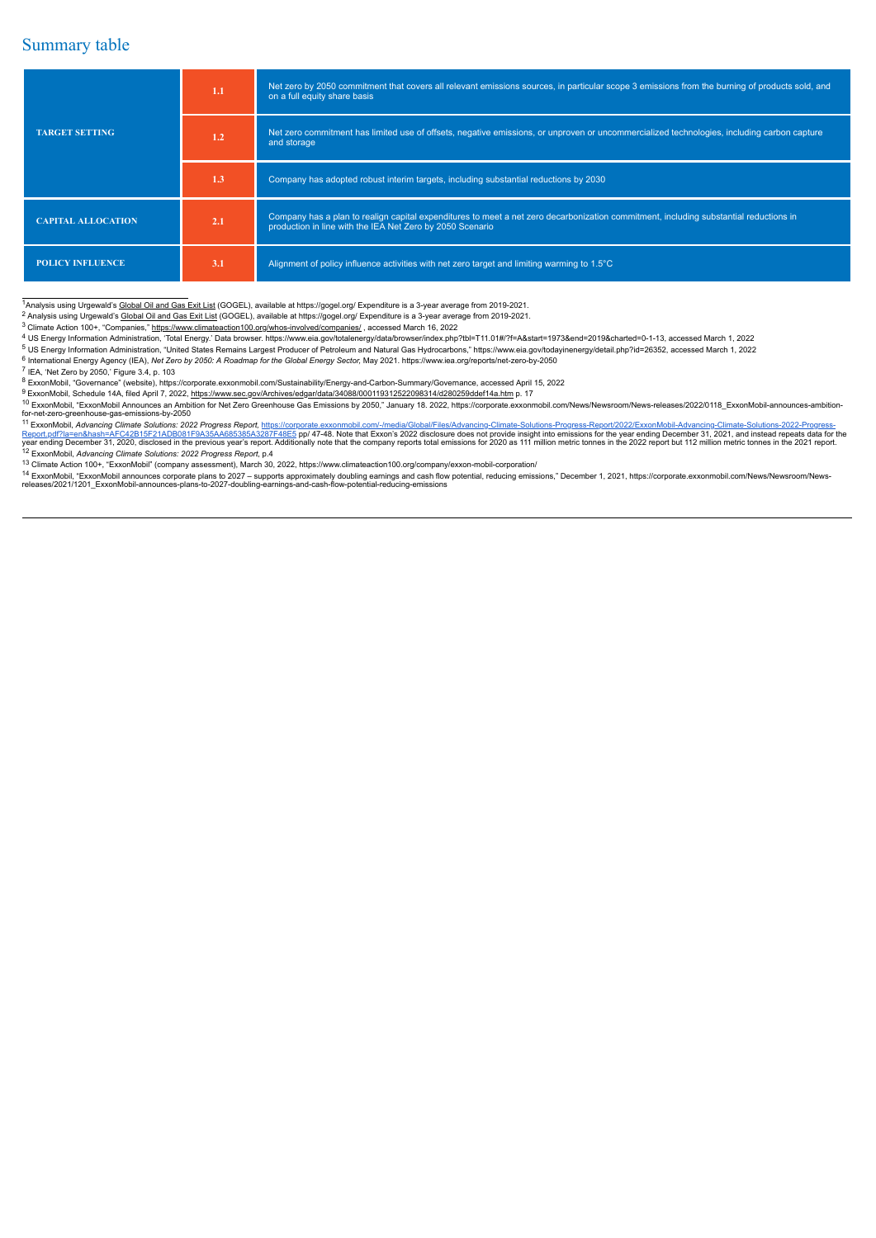### Summary table

|                           | 1.1 | Net zero by 2050 commitment that covers all relevant emissions sources, in particular scope 3 emissions from the burning of products sold, and<br>on a full equity share basis                     |
|---------------------------|-----|----------------------------------------------------------------------------------------------------------------------------------------------------------------------------------------------------|
| <b>TARGET SETTING</b>     | 1.2 | Net zero commitment has limited use of offsets, negative emissions, or unproven or uncommercialized technologies, including carbon capture<br>and storage                                          |
|                           | 1.3 | Company has adopted robust interim targets, including substantial reductions by 2030                                                                                                               |
| <b>CAPITAL ALLOCATION</b> | 2.1 | Company has a plan to realign capital expenditures to meet a net zero decarbonization commitment, including substantial reductions in<br>production in line with the IEA Net Zero by 2050 Scenario |
| <b>POLICY INFLUENCE</b>   | 3.1 | Alignment of policy influence activities with net zero target and limiting warming to 1.5°C                                                                                                        |

<sup>1</sup>Analysis using Urgewald's Global Oil and Gas Exit List (GOGEL), available at https://gogel.org/ Expenditure is a 3-year average from 2019-2021.

<sup>2</sup> Analysis using Urgewald's Global Oil and Gas Exit List (GOGEL), available at https://gogel.org/ Expenditure is a 3-year average from 2019-2021.

<sup>3</sup> Climate Action 100+, "Companies," https://www.climateaction100.org/whos-involved/companies/ , accessed March 16, 2022

<sup>4</sup> US Energy Information Administration, 'Total Energy.' Data browser. https://www.eia.gov/totalenergy/data/browser/index.php?tbl=T11.01#/?f=A&start=1973&end=2019&charted=0-1-13, accessed March 1, 2022

<sup>5</sup> US Energy Information Administration, "United States Remains Largest Producer of Petroleum and Natural Gas Hydrocarbons," https://www.eia.gov/todayinenergy/detail.php?id=26352, accessed March 1, 2022

6 International Energy Agency (IEA), Net Zero by 2050: A Roadmap for the Global Energy Sector, May 2021. https://www.iea.org/reports/net-zero-by-2050 7 IEA, 'Net Zero by 2050,' Figure 3.4, p. 103

<sup>8</sup> ExxonMobil, "Governance" (website), https://corporate.exxonmobil.com/Sustainability/Energy-and-Carbon-Summary/Governance, accessed April 15, 2022

<sup>9</sup> ExxonMobil, Schedule 14A, filed April 7, 2022, https://www.sec.gov/Archives/edgar/data/34088/000119312522098314/d280259ddef14a.htm p. 17

<sup>10</sup> ExxonMobil, "ExxonMobil Announces an Ambition for Net Zero Greenhouse Gas Emissions by 2050," January 18. 2022, https://corporate.exxonmobil.com/News/Newsroom/News-releases/2022/0118\_ExxonMobil-announces-ambitionfor-net-zero-greenhouse-gas-emissions-by-2050

<sup>11</sup> ExxonMobil, *Advancing Climate Solutions: 2022 Progress Report, https://corporate.exxonmobil.com/-/media/Global/Files/Advancing-Climate-Solutions-Progress-Report/2022/ExxonMobil-Advancing-Climate-Solutions-2022-Progre* 

13 Climate Action 100+, "ExxonMobil" (company assessment), March 30, 2022, https://www.climateaction100.org/company/exxon-mobil-corporation/<br>14 ExxonMobil, "ExxonMobil announces corporate plans to 2027 – supports approxima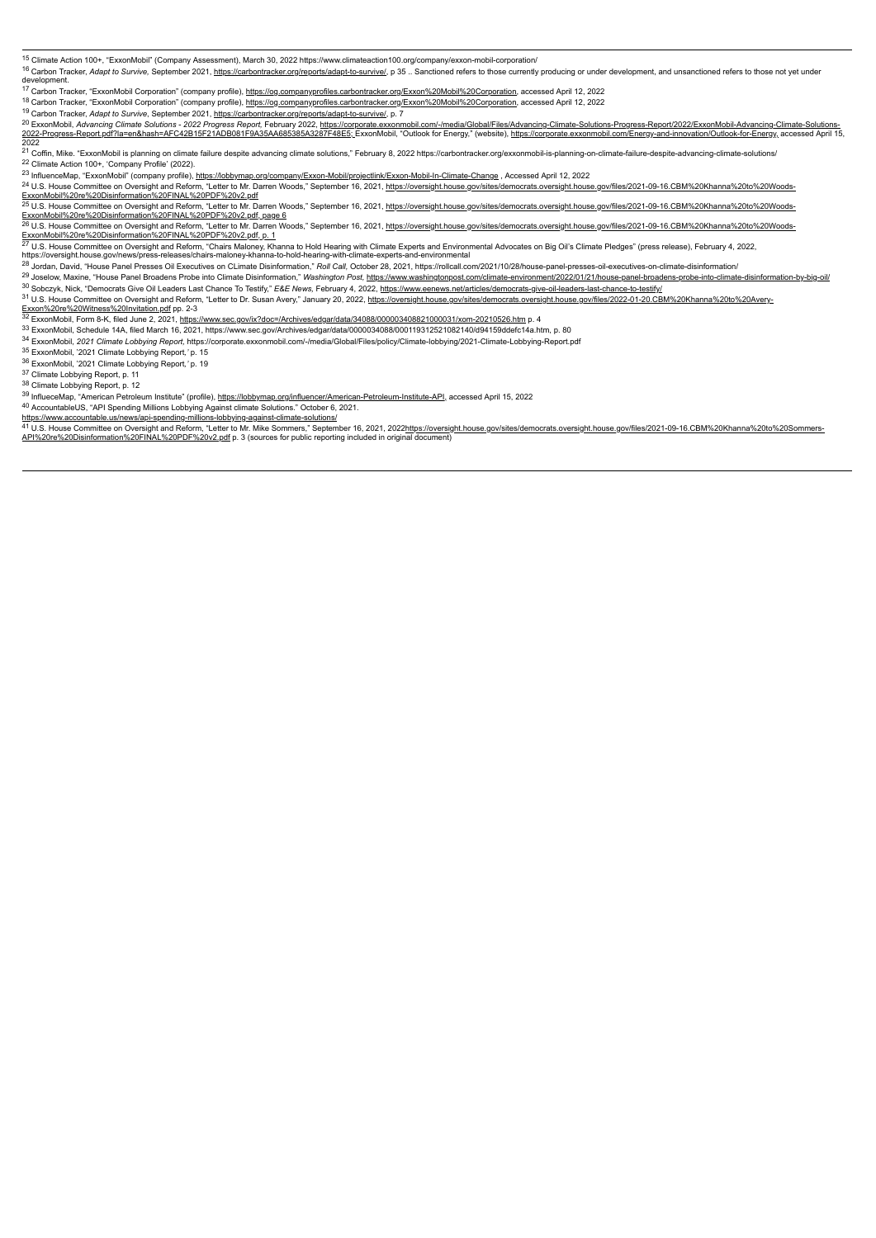<sup>15</sup> Climate Action 100+, "ExxonMobil" (Company Assessment), March 30, 2022 https://www.climateaction100.org/company/exxon-mobil-corporation/

to Carbon Tracker, Adapt to Survive, September 2021, https://carbontracker.org/reports/adapt-to-survive/, p 35.. Sanctioned refers to those currently producing or under development, and unsanctioned refers to those not yet developm

<sup>17</sup> Carbon Tracker, "ExxonMobil Corporation" (company profile), https://og.companyprofiles.carbontracker.org/Exxon%20Mobil%20Corporation, accessed April 12, 2022 <sup>18</sup> Carbon Tracker, "ExxonMobil Corporation" (company profile), https://og.companyprofiles.carbontracker.org/Exxon%20Mobil%20Corporation, accessed April 12, 2022

<sup>19</sup> Carbon Tracker, *Adapt to Survive*, September 2021, https://carbontracker.org/reports/adapt-to-survive/, p. 7

<sup>20</sup> ExxonMobil, Advancing Climate Solutions - 2022 Progress Report, February 2022, https://corporate.exxonmobil.com/-/media/Global/Files/Advancing-Climate-Solutions-Progress-Report/2022/ExxonMobil-Advancing-Climate-Soluti 2022

21 Coffin, Mike. "ExxonMobil is planning on climate failure despite advancing climate solutions," February 8, 2022 https://carbontracker.org/exxonmobil-is-planning-on-climate-failure-despite-advancing-climate-solutions/

<sup>22</sup> Climate Action 100+, 'Company Profile' (2022).

<sup>23</sup> InfluenceMap, "ExxonMobil" (company profile), https://lobbymap.org/company/Exxon-Mobil/projectlink/Exxon-Mobil-In-Climate-Change , Accessed April 12, 2022

<sup>24</sup> U.S. House Committee on Oversight and Reform, "Letter to Mr. Darren Woods," September 16, 2021, https://oversight.house.gov/sites/democrats.oversight.house.gov/files/2021-09-16.CBM%20Khanna%20to%20Woods-<u>ExxonMobil%20re%20Disinformation%20FINAL%20PDF%20v2.pdf</u><br><sup>25</sup> U.S. House Committee on Oversight and Reform, "Letter to Mr. Darren Woods," September 16, 2021, <u>https://oversight.house.gov/sites/democrats.oversight.house.go</u>

ExxonMobil%20re%20Disinformation%20FINAL%20PDF%20v2.pdf.page 6<br><sup>26</sup> U.S. House Committee on Oversight and Reform, "Letter to Mr. Darren Woods," September 16, 2021, <u>https://oversight.house.gov/sites/democrats.oversight.hou</u>

<sup>27</sup> U.S. House Committee on Oversight and Reform, "Chairs Maloney, Khanna to Hold Hearing with Climate Experts and Environmental Advocates on Big Oil's Climate Pledges" (press release), February 4, 2022,<br>https://oversight

<sup>28</sup> Jordan, David, "House Panel Presses Oil Executives on CLimate Disinformation," *Roll Call,* October 28, 2021, https://rollcall.com/2021/10/28/house-panel-presses-oil-executives-on-climate-disinformation/

<sup>29</sup> Joselow, Maxine, "House Panel Broadens Probe into Climate Disinformation," Washington Post, https://www.washingtonpost.com/climate-environment/2022/01/21/house-panel-broadens-probe-into-climate-disinformation-by-big-o <sup>30</sup> Sobczyk, Nick, "Democrats Give Oil Leaders Last Chance To Testify," *E&E News,* February 4, 2022, https://www.eenews.net/articles/democrats-give-oil-leaders-last-chance-to-testify/

<sup>31</sup> U.S. House Committee on Oversight and Reform, "Letter to Dr. Susan Avery," January 20, 2022, https://oversight.house.gov/sites/democrats.oversight.house.gov/files/2022-01-20.CBM%20Khanna%20to%20Avery-

<u>Exxon%20re%20Witness%20Invitation.pdf</u> pp. 2-3<br><sup>32</sup> ExxonMobil, Form 8-K, filed June 2, 2021, <u>https://www.sec.gov/ix?doc=/Archives/edgar/data/34088/000003408821000031/xom-20210526.htm p. 4</u>

<sup>33</sup> ExxonMobil, Schedule 14A, filed March 16, 2021, https://www.sec.gov/Archives/edgar/data/0000034088/000119312521082140/d94159ddefc14a.htm, p. 80

<sup>34</sup> ExxonMobil, *2021 Climate Lobbying Report,* https://corporate.exxonmobil.com/-/media/Global/Files/policy/Climate-lobbying/2021-Climate-Lobbying-Report.pdf

<sup>35</sup> ExxonMobil, '2021 Climate Lobbying Report*,'* p. 15

<sup>36</sup> ExxonMobil, '2021 Climate Lobbying Report*,'* p. 19

37 Climate Lobbying Report, p. 11

<sup>38</sup> Climate Lobbying Report, p. 12

39 InflueceMap, "American Petroleum Institute" (profile), https://lobbymap.org/influencer/American-Petroleum-Institute-API, accessed April 15, 2022

<sup>40</sup> AccountableUS, "API Spending Millions Lobbying Against climate Solutions." October 6, 2021.<br>https://www.accountable.us/news/api-spending-millions-lobbying-against-climate-solutions/<br><sup>41</sup> U.S. House Committee on Oversi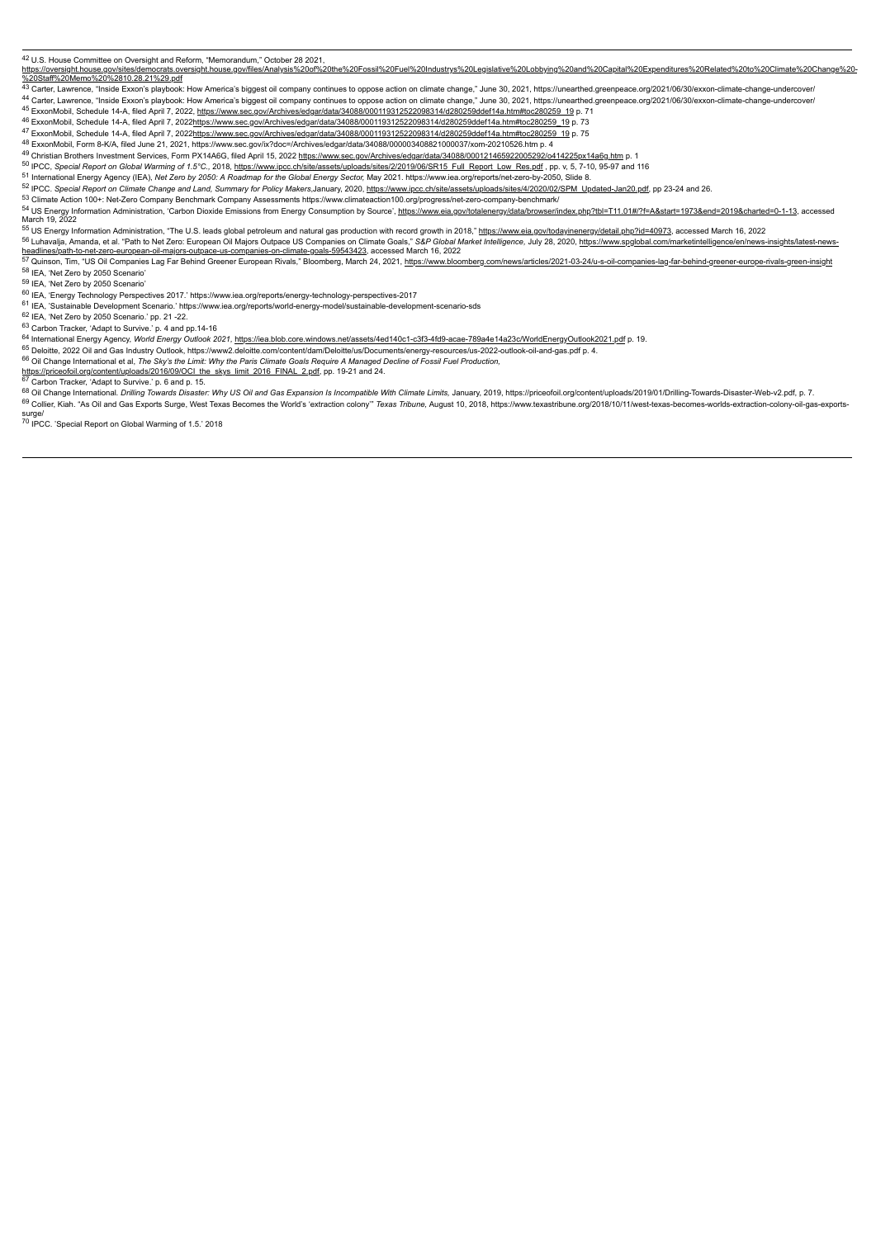<sup>42</sup> U.S. House Committee on Oversight and Reform, "Memorandum," October 28 2021,<br>https://oversight.house.gov/sites/democrats.oversight.house.gov/files/Analysis%200%20the%20Fossil%20Fuel%20Industrys%20Legislative%20Lobbyin

<sup>45</sup> ExxonMobil, Schedule 14-A, filed April 7, 2022, https://www.sec.gov/Archives/edgar/data/34088/000119312522098314/d280259ddef14a.htm#toc280259\_19 p. 71

<sup>46</sup> ExxonMobil, Schedule 14-A, filed April 7, 2022https://www.sec.gov/Archives/edgar/data/34088/000119312522098314/d280259ddef14a.htm#toc280259\_19 p. 73 <sup>47</sup> ExxonMobil, Schedule 14-A, filed April 7, 2022https://www.sec.gov/Archives/edgar/data/34088/000119312522098314/d280259ddef14a.htm#toc280259\_19 p. 75

<sup>48</sup> ExxonMobil, Form 8-K/A, filed June 21, 2021, https://www.sec.gov/ix?doc=/Archives/edgar/data/34088/000003408821000037/xom-20210526.htm p. 4

49 Christian Brothers Investment Services, Form PX14A6G, filed April 15, 2022 https://www.sec.gov/Archives/edgar/data/34088/000121465922005292/o414225px14a6g.htm p. 1

50 IPCC, Special Report on Global Warming of 1.5°C., 2018, https://www.ipcc.ch/site/assets/uploads/sites/2/2019/06/SR15 Full Report Low Res.pdf, pp. v, 5, 7-10, 95-97 and 116

<sup>51</sup> International Energy Agency (IEA), Net Zero by 2050: A Roadmap for the Global Energy Sector, May 2021. https://www.iea.org/reports/net-zero-by-2050, Slide 8.

52 IPCC. Special Report on Climate Change and Land, Summary for Policy Makers, January, 2020, https://www.ipcc.ch/site/assets/uploads/sites/4/2020/02/SPM Updated-Jan20.pdf, pp 23-24 and 26.

<sup>53</sup> Climate Action 100+: Net-Zero Company Benchmark Company Assessments https://www.climateaction100.org/progress/net-zero-company-benchmark/ 54 US Energy Information Administration, 'Carbon Dioxide Emissions from Energy Consumption by Source', https://www.eia.gov/totalenergy/data/browser/index.php?tbl=T11.01#/?f=A&start=1973&end=2019&charted=0-1-13, accessed<br>Ma

55 US Energy Information Administration, "The U.S. leads global petroleum and natural gas production with record growth in 2018," https://www.eia.gov/todayinenergy/detail.php?id=40973, accessed March 16, 2022

<sup>56</sup> Luhavalja, Amanda, et al. "Path to Net Zero: European Oil Majors Outpace US Companies on Climate Goals," *S&P Global Market Intelligence,* July 28, 2020, <u>https://www.spglobal.com/marketintelligence/en/news-insights/l</u>

58 IEA, 'Net Zero by 2050 Scenario' <sup>59</sup> IEA, 'Net Zero by 2050 Scenario'

<sup>60</sup> IEA, 'Energy Technology Perspectives 2017.' https://www.iea.org/reports/energy-technology-perspectives-2017

<sup>61</sup> IEA, 'Sustainable Development Scenario.' https://www.iea.org/reports/world-energy-model/sustainable-development-scenario-sds

62 IEA, 'Net Zero by 2050 Scenario.' pp. 21 -22.

<sup>63</sup> Carbon Tracker, 'Adapt to Survive.' p. 4 and pp.14-16

64 International Energy Agency, *World Energy Outlook 2021,* https://iea.blob.core.windows.net/assets/4ed140c1-c3f3-4fd9-acae-789a4e14a23c/WorldEnergyOutlook2021.pdf p. 19.

<sup>65</sup> Deloitte, 2022 Oil and Gas Industry Outlook, https://www2.deloitte.com/content/dam/Deloitte/us/Documents/energy-resources/us-2022-outlook-oil-and-gas.pdf p. 4.

<sup>66</sup> Oil Change International et al. *The Sky's the Limit: Why the Paris Climate Goals Require A Managed Decline of Fossil Fuel Production,<br>https://priceofoil.org/content/uploads/2016/09/OCI the skys\_limit\_2016\_FINAL\_2.pdf* 

83 Controller and the material controller and Case Expansion Is Incompatible With Climate Limits, January, 2019, https://priceofoil.org/content/uploads/2019/01/Drilling-Towards-Disaster-Web-v2.pdf, p. 7. 69 Collier, Kiah. "As Oil and Gas Exports Surge, West Texas Becomes the World's 'extraction colony" Texas Tribune, August 10, 2018, https://www.texastribune.org/2018/10/11/west-texas-becomes-worlds-extraction-colony-oil-ga surge/

<sup>70</sup> IPCC. 'Special Report on Global Warming of 1.5.' 2018